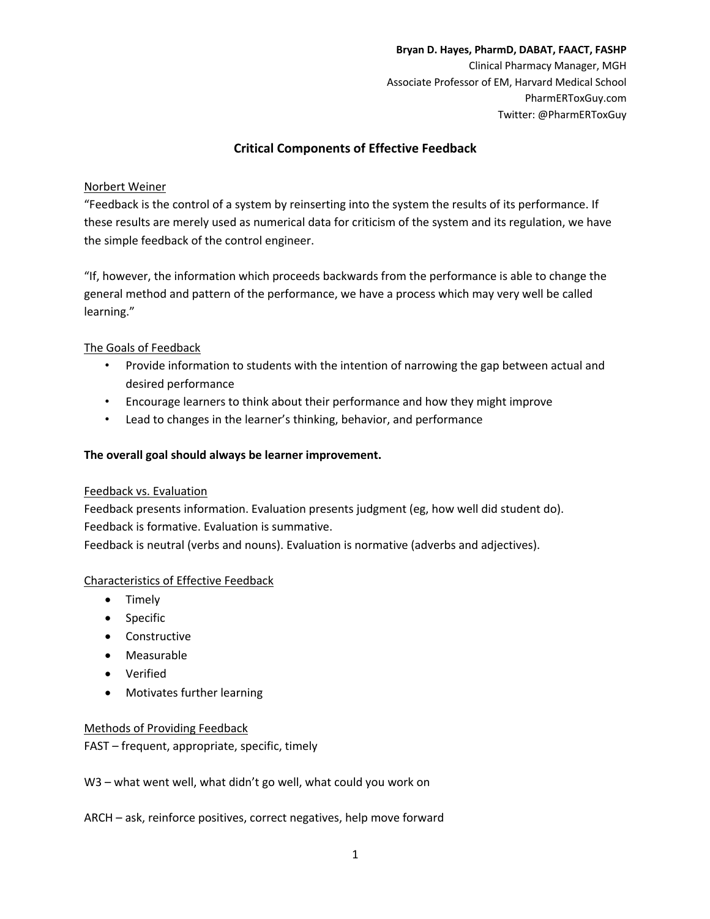**Bryan D. Hayes, PharmD, DABAT, FAACT, FASHP** Clinical Pharmacy Manager, MGH Associate Professor of EM, Harvard Medical School PharmERToxGuy.com Twitter: @PharmERToxGuy

# **Critical Components of Effective Feedback**

### Norbert Weiner

"Feedback is the control of a system by reinserting into the system the results of its performance. If these results are merely used as numerical data for criticism of the system and its regulation, we have the simple feedback of the control engineer.

"If, however, the information which proceeds backwards from the performance is able to change the general method and pattern of the performance, we have a process which may very well be called learning."

### The Goals of Feedback

- Provide information to students with the intention of narrowing the gap between actual and desired performance
- Encourage learners to think about their performance and how they might improve
- Lead to changes in the learner's thinking, behavior, and performance

### **The overall goal should always be learner improvement.**

#### Feedback vs. Evaluation

Feedback presents information. Evaluation presents judgment (eg, how well did student do). Feedback is formative. Evaluation is summative.

Feedback is neutral (verbs and nouns). Evaluation is normative (adverbs and adjectives).

## Characteristics of Effective Feedback

- Timely
- Specific
- Constructive
- Measurable
- Verified
- Motivates further learning

#### Methods of Providing Feedback

FAST – frequent, appropriate, specific, timely

W3 – what went well, what didn't go well, what could you work on

ARCH – ask, reinforce positives, correct negatives, help move forward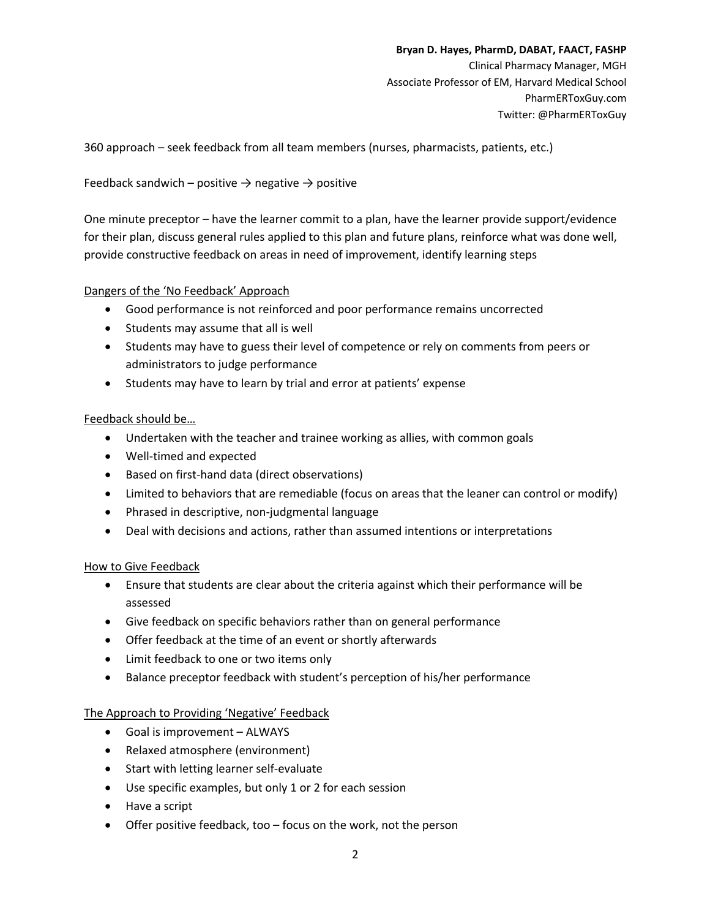**Bryan D. Hayes, PharmD, DABAT, FAACT, FASHP** Clinical Pharmacy Manager, MGH Associate Professor of EM, Harvard Medical School PharmERToxGuy.com Twitter: @PharmERToxGuy

360 approach – seek feedback from all team members (nurses, pharmacists, patients, etc.)

### Feedback sandwich – positive  $\rightarrow$  negative  $\rightarrow$  positive

One minute preceptor – have the learner commit to a plan, have the learner provide support/evidence for their plan, discuss general rules applied to this plan and future plans, reinforce what was done well, provide constructive feedback on areas in need of improvement, identify learning steps

### Dangers of the 'No Feedback' Approach

- Good performance is not reinforced and poor performance remains uncorrected
- Students may assume that all is well
- Students may have to guess their level of competence or rely on comments from peers or administrators to judge performance
- Students may have to learn by trial and error at patients' expense

### Feedback should be…

- Undertaken with the teacher and trainee working as allies, with common goals
- Well-timed and expected
- Based on first-hand data (direct observations)
- Limited to behaviors that are remediable (focus on areas that the leaner can control or modify)
- Phrased in descriptive, non-judgmental language
- Deal with decisions and actions, rather than assumed intentions or interpretations

#### How to Give Feedback

- Ensure that students are clear about the criteria against which their performance will be assessed
- Give feedback on specific behaviors rather than on general performance
- Offer feedback at the time of an event or shortly afterwards
- Limit feedback to one or two items only
- Balance preceptor feedback with student's perception of his/her performance

#### The Approach to Providing 'Negative' Feedback

- Goal is improvement ALWAYS
- Relaxed atmosphere (environment)
- Start with letting learner self-evaluate
- Use specific examples, but only 1 or 2 for each session
- Have a script
- Offer positive feedback, too focus on the work, not the person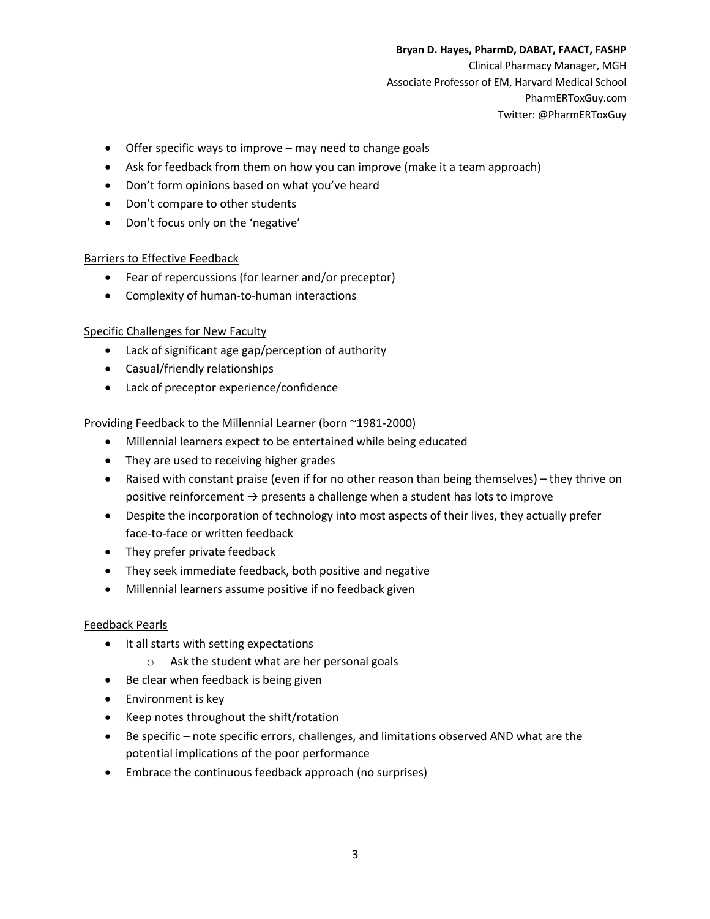#### **Bryan D. Hayes, PharmD, DABAT, FAACT, FASHP**

Clinical Pharmacy Manager, MGH Associate Professor of EM, Harvard Medical School PharmERToxGuy.com Twitter: @PharmERToxGuy

- Offer specific ways to improve may need to change goals
- Ask for feedback from them on how you can improve (make it a team approach)
- Don't form opinions based on what you've heard
- Don't compare to other students
- Don't focus only on the 'negative'

#### Barriers to Effective Feedback

- Fear of repercussions (for learner and/or preceptor)
- Complexity of human-to-human interactions

#### Specific Challenges for New Faculty

- Lack of significant age gap/perception of authority
- Casual/friendly relationships
- Lack of preceptor experience/confidence

#### Providing Feedback to the Millennial Learner (born ~1981-2000)

- Millennial learners expect to be entertained while being educated
- They are used to receiving higher grades
- Raised with constant praise (even if for no other reason than being themselves) they thrive on positive reinforcement  $\rightarrow$  presents a challenge when a student has lots to improve
- Despite the incorporation of technology into most aspects of their lives, they actually prefer face-to-face or written feedback
- They prefer private feedback
- They seek immediate feedback, both positive and negative
- Millennial learners assume positive if no feedback given

#### Feedback Pearls

- It all starts with setting expectations
	- o Ask the student what are her personal goals
- Be clear when feedback is being given
- Environment is key
- Keep notes throughout the shift/rotation
- Be specific note specific errors, challenges, and limitations observed AND what are the potential implications of the poor performance
- Embrace the continuous feedback approach (no surprises)